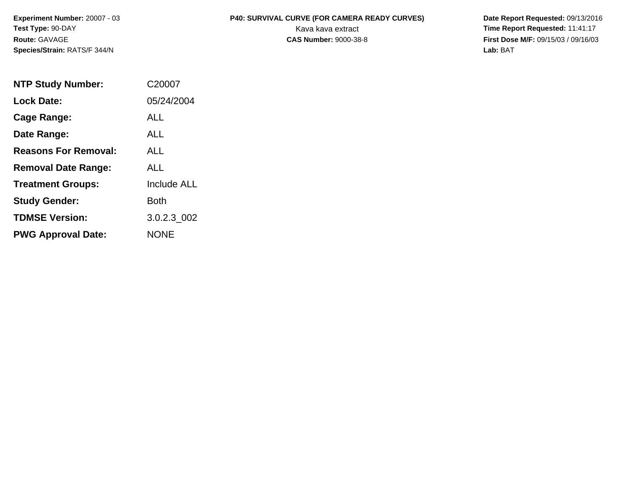**Species/Strain:** RATS/F 344/N **Lab:** BAT

## **Experiment Number:** 20007 - 03 **P40: SURVIVAL CURVE (FOR CAMERA READY CURVES) Date Report Requested:** 09/13/2016 **Test Type: 90-DAY The Report Requested: 11:41:17 Kava kava extract <b>Time Report Requested: 11:41:17**

**Route:** GAVAGE **CAS Number:** 9000-38-8 **First Dose M/F:** 09/15/03 / 09/16/03

| <b>NTP Study Number:</b>    | C20007             |
|-----------------------------|--------------------|
| <b>Lock Date:</b>           | 05/24/2004         |
| Cage Range:                 | ALL.               |
| Date Range:                 | <b>ALL</b>         |
| <b>Reasons For Removal:</b> | ALL.               |
| <b>Removal Date Range:</b>  | AI I               |
| <b>Treatment Groups:</b>    | <b>Include ALL</b> |
| <b>Study Gender:</b>        | Both               |
| <b>TDMSE Version:</b>       | 3.0.2.3 002        |
| <b>PWG Approval Date:</b>   | <b>NONE</b>        |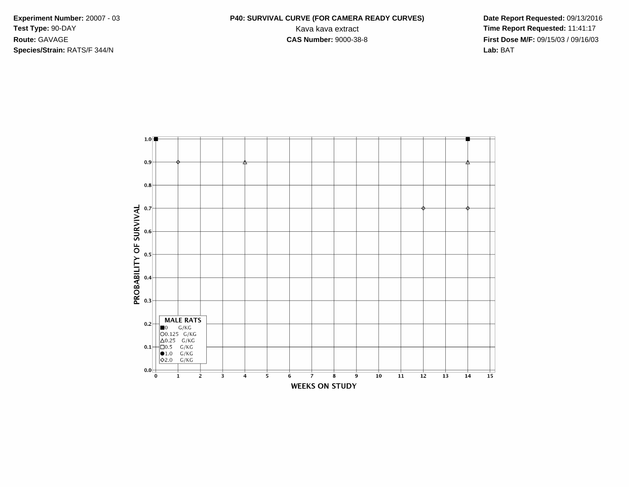**Species/Strain:** RATS/F 344/N **Lab:** BAT